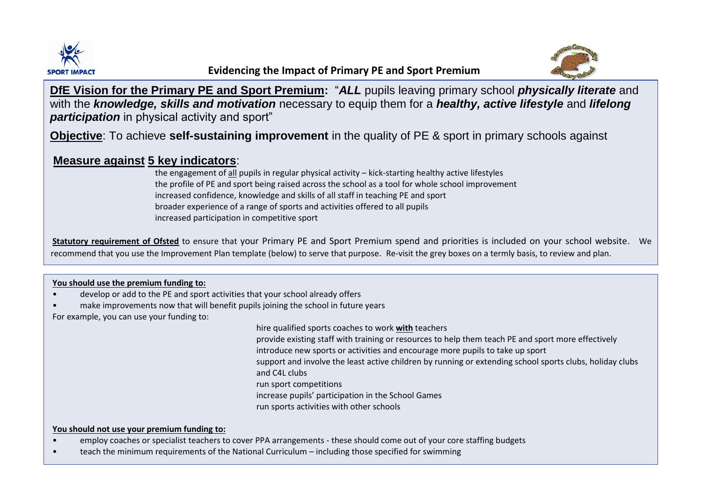



**DfE Vision for the Primary PE and Sport Premium:** "*ALL* pupils leaving primary school *physically literate* and with the *knowledge, skills and motivation* necessary to equip them for a *healthy, active lifestyle* and *lifelong*  **participation** in physical activity and sport"

**Objective**: To achieve **self-sustaining improvement** in the quality of PE & sport in primary schools against

### **Measure against 5 key indicators**:

the engagement of all pupils in regular physical activity – kick-starting healthy active lifestyles the profile of PE and sport being raised across the school as a tool for whole school improvement increased confidence, knowledge and skills of all staff in teaching PE and sport broader experience of a range of sports and activities offered to all pupils increased participation in competitive sport

**Statutory requirement of Ofsted** to ensure that your Primary PE and Sport Premium spend and priorities is included on your school website. We recommend that you use the Improvement Plan template (below) to serve that purpose. Re-visit the grey boxes on a termly basis, to review and plan.

### **You should use the premium funding to:**

- develop or add to the PE and sport activities that your school already offers
- make improvements now that will benefit pupils joining the school in future years

For example, you can use your funding to:

hire qualified sports coaches to work **with** teachers

provide existing staff with training or resources to help them teach PE and sport more effectively introduce new sports or activities and encourage more pupils to take up sport support and involve the least active children by running or extending school sports clubs, holiday clubs and C4L clubs run sport competitions increase pupils' participation in the School Games

run sports activities with other schools

#### **You should not use your premium funding to:**

- employ coaches or specialist teachers to cover PPA arrangements these should come out of your core staffing budgets
- teach the minimum requirements of the National Curriculum including those specified for swimming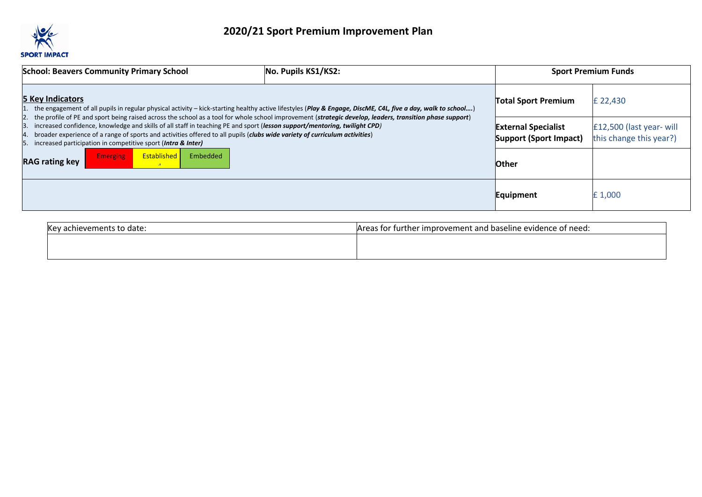

| <b>School: Beavers Community Primary School</b>                                                                                                                                                                                                                                                                                                                                                                                                                                           | No. Pupils KS1/KS2: |                                                      | <b>Sport Premium Funds</b>                          |
|-------------------------------------------------------------------------------------------------------------------------------------------------------------------------------------------------------------------------------------------------------------------------------------------------------------------------------------------------------------------------------------------------------------------------------------------------------------------------------------------|---------------------|------------------------------------------------------|-----------------------------------------------------|
| <b>5 Key Indicators</b><br>the engagement of all pupils in regular physical activity - kick-starting healthy active lifestyles (Play & Engage, DiscME, C4L, five a day, walk to school)                                                                                                                                                                                                                                                                                                   |                     | <b>Total Sport Premium</b>                           | £ 22,430                                            |
| the profile of PE and sport being raised across the school as a tool for whole school improvement (strategic develop, leaders, transition phase support)<br>increased confidence, knowledge and skills of all staff in teaching PE and sport (lesson support/mentoring, twilight CPD)<br>broader experience of a range of sports and activities offered to all pupils (clubs wide variety of curriculum activities)<br>increased participation in competitive sport (Intra & Inter)<br>ь. |                     | <b>External Specialist</b><br>Support (Sport Impact) | E12,500 (last year- will<br>this change this year?) |
| <b>Established</b><br>Embedded<br><b>Emerging</b><br><b>RAG rating key</b>                                                                                                                                                                                                                                                                                                                                                                                                                |                     | <b>Other</b>                                         |                                                     |
|                                                                                                                                                                                                                                                                                                                                                                                                                                                                                           |                     | Equipment                                            | £1,000                                              |

| Key a<br>levemen<br>ents to date: | r improvement and baseline evidence of need:<br>Areas for further |
|-----------------------------------|-------------------------------------------------------------------|
|                                   |                                                                   |
|                                   |                                                                   |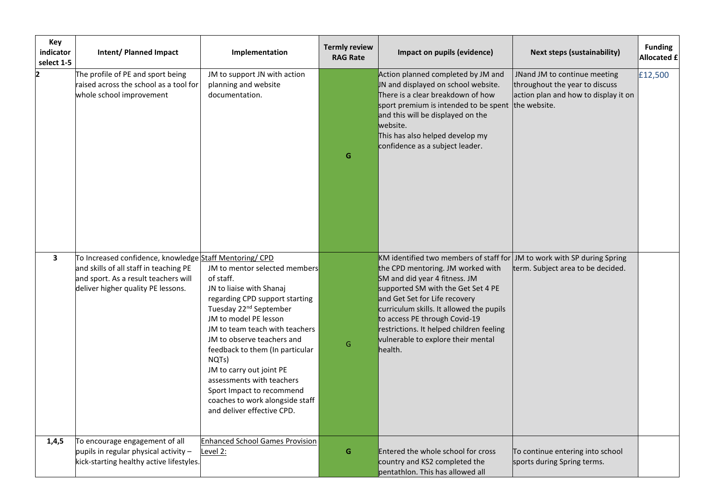| Key<br>indicator<br>select 1-5 | <b>Intent/ Planned Impact</b>                                                                                                                                                   | Implementation                                                                                                                                                                                                                                                                                                                                                                                                                             | <b>Termly review</b><br><b>RAG Rate</b> | Impact on pupils (evidence)                                                                                                                                                                                                                                                                                                                                                                    | <b>Next steps (sustainability)</b>                                                                                     | <b>Funding</b><br><b>Allocated £</b> |
|--------------------------------|---------------------------------------------------------------------------------------------------------------------------------------------------------------------------------|--------------------------------------------------------------------------------------------------------------------------------------------------------------------------------------------------------------------------------------------------------------------------------------------------------------------------------------------------------------------------------------------------------------------------------------------|-----------------------------------------|------------------------------------------------------------------------------------------------------------------------------------------------------------------------------------------------------------------------------------------------------------------------------------------------------------------------------------------------------------------------------------------------|------------------------------------------------------------------------------------------------------------------------|--------------------------------------|
| 2                              | The profile of PE and sport being<br>raised across the school as a tool for<br>whole school improvement                                                                         | JM to support JN with action<br>planning and website<br>documentation.                                                                                                                                                                                                                                                                                                                                                                     | G                                       | Action planned completed by JM and<br>IN and displayed on school website.<br>There is a clear breakdown of how<br>sport premium is intended to be spent<br>and this will be displayed on the<br>website.<br>This has also helped develop my<br>confidence as a subject leader.                                                                                                                 | JNand JM to continue meeting<br>throughout the year to discuss<br>action plan and how to display it on<br>the website. | £12,500                              |
| $\overline{\mathbf{3}}$        | To Increased confidence, knowledge Staff Mentoring/ CPD<br>and skills of all staff in teaching PE<br>and sport. As a result teachers will<br>deliver higher quality PE lessons. | JM to mentor selected members<br>of staff.<br>JN to liaise with Shanaj<br>regarding CPD support starting<br>Tuesday 22 <sup>nd</sup> September<br>JM to model PE lesson<br>JM to team teach with teachers<br>JM to observe teachers and<br>feedback to them (In particular<br>NQTs)<br>JM to carry out joint PE<br>assessments with teachers<br>Sport Impact to recommend<br>coaches to work alongside staff<br>and deliver effective CPD. | G                                       | KM identified two members of staff for JM to work with SP during Spring<br>the CPD mentoring. JM worked with<br>SM and did year 4 fitness. JM<br>supported SM with the Get Set 4 PE<br>and Get Set for Life recovery<br>curriculum skills. It allowed the pupils<br>to access PE through Covid-19<br>restrictions. It helped children feeling<br>vulnerable to explore their mental<br>health. | term. Subject area to be decided.                                                                                      |                                      |
| 1,4,5                          | To encourage engagement of all<br>pupils in regular physical activity $-$<br>kick-starting healthy active lifestyles.                                                           | <b>Enhanced School Games Provision</b><br>Level 2:                                                                                                                                                                                                                                                                                                                                                                                         | G                                       | <b>Entered the whole school for cross</b><br>country and KS2 completed the<br>pentathlon. This has allowed all                                                                                                                                                                                                                                                                                 | To continue entering into school<br>sports during Spring terms.                                                        |                                      |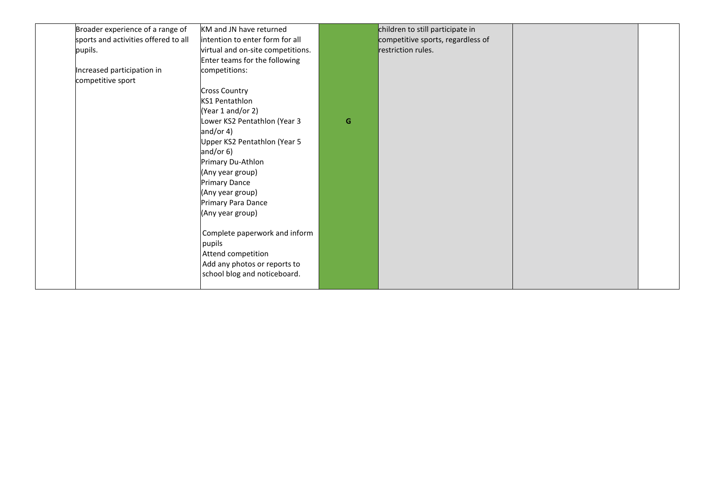| Broader experience of a range of<br>KM and JN have returned<br>children to still participate in<br>sports and activities offered to all<br>intention to enter form for all<br>competitive sports, regardless of<br>restriction rules.<br>pupils.<br>virtual and on-site competitions.<br>Enter teams for the following<br>Increased participation in<br>competitions:<br>competitive sport<br><b>Cross Country</b><br><b>KS1 Pentathlon</b><br>(Year 1 and/or 2)<br>Lower KS2 Pentathlon (Year 3<br>G<br>and/or $4)$<br>Upper KS2 Pentathlon (Year 5<br>and/or $6)$<br>Primary Du-Athlon<br>(Any year group)<br><b>Primary Dance</b><br>(Any year group)<br>Primary Para Dance<br>(Any year group)<br>Complete paperwork and inform<br>pupils<br>Attend competition<br>Add any photos or reports to<br>school blog and noticeboard. |  |  |  |  |
|-------------------------------------------------------------------------------------------------------------------------------------------------------------------------------------------------------------------------------------------------------------------------------------------------------------------------------------------------------------------------------------------------------------------------------------------------------------------------------------------------------------------------------------------------------------------------------------------------------------------------------------------------------------------------------------------------------------------------------------------------------------------------------------------------------------------------------------|--|--|--|--|
|                                                                                                                                                                                                                                                                                                                                                                                                                                                                                                                                                                                                                                                                                                                                                                                                                                     |  |  |  |  |
|                                                                                                                                                                                                                                                                                                                                                                                                                                                                                                                                                                                                                                                                                                                                                                                                                                     |  |  |  |  |
|                                                                                                                                                                                                                                                                                                                                                                                                                                                                                                                                                                                                                                                                                                                                                                                                                                     |  |  |  |  |
|                                                                                                                                                                                                                                                                                                                                                                                                                                                                                                                                                                                                                                                                                                                                                                                                                                     |  |  |  |  |
|                                                                                                                                                                                                                                                                                                                                                                                                                                                                                                                                                                                                                                                                                                                                                                                                                                     |  |  |  |  |
|                                                                                                                                                                                                                                                                                                                                                                                                                                                                                                                                                                                                                                                                                                                                                                                                                                     |  |  |  |  |
|                                                                                                                                                                                                                                                                                                                                                                                                                                                                                                                                                                                                                                                                                                                                                                                                                                     |  |  |  |  |
|                                                                                                                                                                                                                                                                                                                                                                                                                                                                                                                                                                                                                                                                                                                                                                                                                                     |  |  |  |  |
|                                                                                                                                                                                                                                                                                                                                                                                                                                                                                                                                                                                                                                                                                                                                                                                                                                     |  |  |  |  |
|                                                                                                                                                                                                                                                                                                                                                                                                                                                                                                                                                                                                                                                                                                                                                                                                                                     |  |  |  |  |
|                                                                                                                                                                                                                                                                                                                                                                                                                                                                                                                                                                                                                                                                                                                                                                                                                                     |  |  |  |  |
|                                                                                                                                                                                                                                                                                                                                                                                                                                                                                                                                                                                                                                                                                                                                                                                                                                     |  |  |  |  |
|                                                                                                                                                                                                                                                                                                                                                                                                                                                                                                                                                                                                                                                                                                                                                                                                                                     |  |  |  |  |
|                                                                                                                                                                                                                                                                                                                                                                                                                                                                                                                                                                                                                                                                                                                                                                                                                                     |  |  |  |  |
|                                                                                                                                                                                                                                                                                                                                                                                                                                                                                                                                                                                                                                                                                                                                                                                                                                     |  |  |  |  |
|                                                                                                                                                                                                                                                                                                                                                                                                                                                                                                                                                                                                                                                                                                                                                                                                                                     |  |  |  |  |
|                                                                                                                                                                                                                                                                                                                                                                                                                                                                                                                                                                                                                                                                                                                                                                                                                                     |  |  |  |  |
|                                                                                                                                                                                                                                                                                                                                                                                                                                                                                                                                                                                                                                                                                                                                                                                                                                     |  |  |  |  |
|                                                                                                                                                                                                                                                                                                                                                                                                                                                                                                                                                                                                                                                                                                                                                                                                                                     |  |  |  |  |
|                                                                                                                                                                                                                                                                                                                                                                                                                                                                                                                                                                                                                                                                                                                                                                                                                                     |  |  |  |  |
|                                                                                                                                                                                                                                                                                                                                                                                                                                                                                                                                                                                                                                                                                                                                                                                                                                     |  |  |  |  |
|                                                                                                                                                                                                                                                                                                                                                                                                                                                                                                                                                                                                                                                                                                                                                                                                                                     |  |  |  |  |
|                                                                                                                                                                                                                                                                                                                                                                                                                                                                                                                                                                                                                                                                                                                                                                                                                                     |  |  |  |  |
|                                                                                                                                                                                                                                                                                                                                                                                                                                                                                                                                                                                                                                                                                                                                                                                                                                     |  |  |  |  |
|                                                                                                                                                                                                                                                                                                                                                                                                                                                                                                                                                                                                                                                                                                                                                                                                                                     |  |  |  |  |
|                                                                                                                                                                                                                                                                                                                                                                                                                                                                                                                                                                                                                                                                                                                                                                                                                                     |  |  |  |  |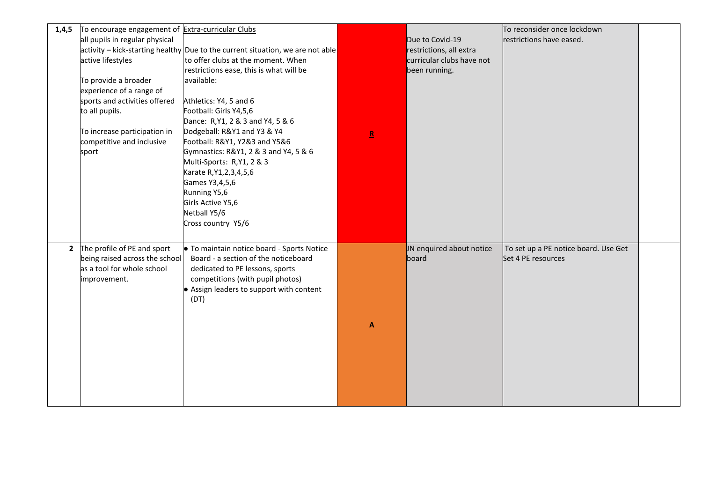| 1,4,5 | To encourage engagement of Extra-curricular Clubs<br>all pupils in regular physical<br>active lifestyles<br>To provide a broader<br>experience of a range of<br>sports and activities offered<br>to all pupils.<br>To increase participation in<br>competitive and inclusive<br>sport | $ $ activity – kick-starting healthy Due to the current situation, we are not able<br>to offer clubs at the moment. When<br>restrictions ease, this is what will be<br>available:<br>Athletics: Y4, 5 and 6<br>Football: Girls Y4,5,6<br>Dance: R, Y1, 2 & 3 and Y4, 5 & 6<br>Dodgeball: R&Y1 and Y3 & Y4<br>Football: R&Y1, Y2&3 and Y5&6<br>Gymnastics: R&Y1, 2 & 3 and Y4, 5 & 6<br>Multi-Sports: R,Y1, 2 & 3<br>Karate R, Y1, 2, 3, 4, 5, 6<br>Games Y3,4,5,6<br>Running Y5,6<br>Girls Active Y5,6<br>Netball Y5/6<br>Cross country Y5/6 | $\underline{\mathbf{R}}$ | Due to Covid-19<br>restrictions, all extra<br>curricular clubs have not<br>been running. | To reconsider once lockdown<br>restrictions have eased.    |  |
|-------|---------------------------------------------------------------------------------------------------------------------------------------------------------------------------------------------------------------------------------------------------------------------------------------|----------------------------------------------------------------------------------------------------------------------------------------------------------------------------------------------------------------------------------------------------------------------------------------------------------------------------------------------------------------------------------------------------------------------------------------------------------------------------------------------------------------------------------------------|--------------------------|------------------------------------------------------------------------------------------|------------------------------------------------------------|--|
|       | 2 The profile of PE and sport<br>being raised across the school<br>as a tool for whole school<br>improvement.                                                                                                                                                                         | • To maintain notice board - Sports Notice<br>Board - a section of the noticeboard<br>dedicated to PE lessons, sports<br>competitions (with pupil photos)<br>• Assign leaders to support with content<br>(DT)                                                                                                                                                                                                                                                                                                                                | A                        | JN enquired about notice<br>board                                                        | To set up a PE notice board. Use Get<br>Set 4 PE resources |  |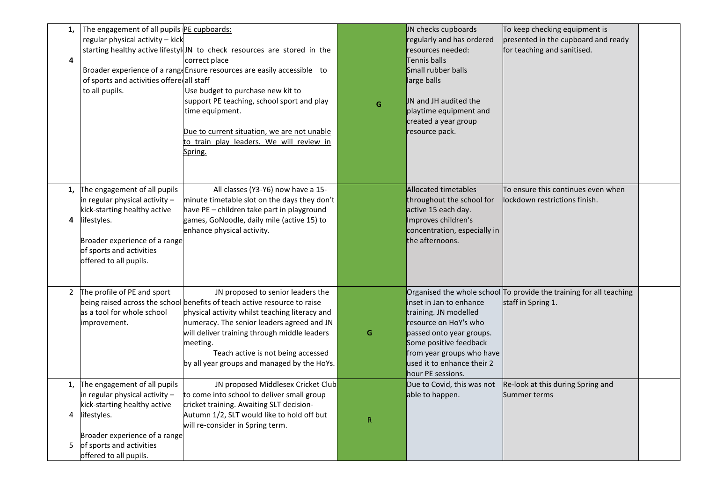| 1,<br>4                  | The engagement of all pupils PE cupboards:<br>regular physical activity - kick<br>of sports and activities offere all staff<br>to all pupils.                                                        | starting healthy active lifestyl JN to check resources are stored in the<br>correct place<br>Broader experience of a range Ensure resources are easily accessible to<br>Use budget to purchase new kit to<br>support PE teaching, school sport and play<br>time equipment.<br>Due to current situation, we are not unable<br>to train play leaders. We will review in<br>Spring. | G         | JN checks cupboards<br>regularly and has ordered<br>resources needed:<br>Tennis balls<br>Small rubber balls<br>large balls<br>JN and JH audited the<br>playtime equipment and<br>created a year group<br>resource pack. | To keep checking equipment is<br>presented in the cupboard and ready<br>for teaching and sanitised. |  |
|--------------------------|------------------------------------------------------------------------------------------------------------------------------------------------------------------------------------------------------|----------------------------------------------------------------------------------------------------------------------------------------------------------------------------------------------------------------------------------------------------------------------------------------------------------------------------------------------------------------------------------|-----------|-------------------------------------------------------------------------------------------------------------------------------------------------------------------------------------------------------------------------|-----------------------------------------------------------------------------------------------------|--|
| 1,<br>4                  | The engagement of all pupils<br>in regular physical activity -<br>kick-starting healthy active<br>lifestyles.<br>Broader experience of a range<br>of sports and activities<br>offered to all pupils. | All classes (Y3-Y6) now have a 15-<br>minute timetable slot on the days they don't<br>have PE - children take part in playground<br>games, GoNoodle, daily mile (active 15) to<br>enhance physical activity.                                                                                                                                                                     |           | <b>Allocated timetables</b><br>throughout the school for<br>active 15 each day.<br>Improves children's<br>concentration, especially in<br>the afternoons.                                                               | To ensure this continues even when<br>lockdown restrictions finish.                                 |  |
| $\mathbf{2}$             | The profile of PE and sport<br>as a tool for whole school<br>improvement.                                                                                                                            | JN proposed to senior leaders the<br>being raised across the school benefits of teach active resource to raise<br>physical activity whilst teaching literacy and<br>numeracy. The senior leaders agreed and JN<br>will deliver training through middle leaders<br>meeting.<br>Teach active is not being accessed<br>by all year groups and managed by the HoYs.                  | G         | inset in Jan to enhance<br>training. JN modelled<br>resource on HoY's who<br>passed onto year groups.<br>Some positive feedback<br>from year groups who have<br>used it to enhance their 2<br>hour PE sessions.         | Organised the whole school $ $ To provide the training for all teaching<br>staff in Spring 1.       |  |
| $\mathbf{1}$ .<br>4<br>5 | The engagement of all pupils<br>in regular physical activity -<br>kick-starting healthy active<br>lifestyles.<br>Broader experience of a range<br>of sports and activities<br>offered to all pupils. | JN proposed Middlesex Cricket Club<br>to come into school to deliver small group<br>cricket training. Awaiting SLT decision-<br>Autumn 1/2, SLT would like to hold off but<br>will re-consider in Spring term.                                                                                                                                                                   | ${\sf R}$ | Due to Covid, this was not<br>able to happen.                                                                                                                                                                           | Re-look at this during Spring and<br>Summer terms                                                   |  |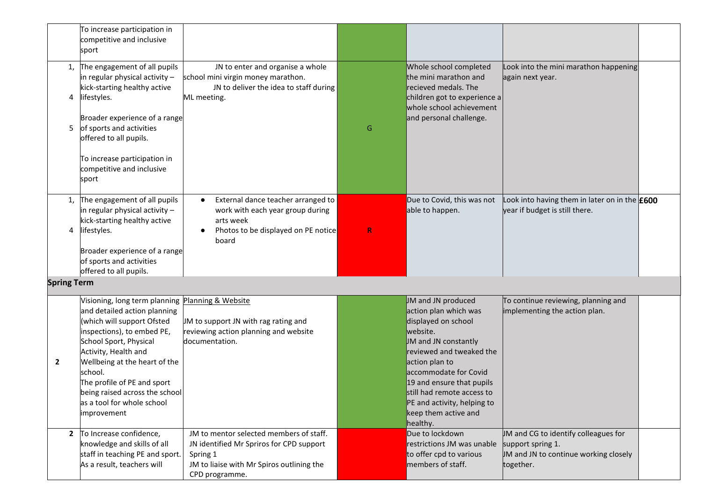|                    | To increase participation in<br>competitive and inclusive<br>sport                                                                                                                                                                                                                                                                                       |                                                                                                                                                                |             |                                                                                                                                                                                                                                                                                                             |                                                                                                                 |  |
|--------------------|----------------------------------------------------------------------------------------------------------------------------------------------------------------------------------------------------------------------------------------------------------------------------------------------------------------------------------------------------------|----------------------------------------------------------------------------------------------------------------------------------------------------------------|-------------|-------------------------------------------------------------------------------------------------------------------------------------------------------------------------------------------------------------------------------------------------------------------------------------------------------------|-----------------------------------------------------------------------------------------------------------------|--|
| 1,<br>4<br>5       | The engagement of all pupils<br>in regular physical activity -<br>kick-starting healthy active<br>lifestyles.<br>Broader experience of a range<br>of sports and activities<br>offered to all pupils.<br>To increase participation in<br>competitive and inclusive<br>sport                                                                               | JN to enter and organise a whole<br>school mini virgin money marathon.<br>JN to deliver the idea to staff during<br>ML meeting.                                | G           | Whole school completed<br>the mini marathon and<br>recieved medals. The<br>children got to experience a<br>whole school achievement<br>and personal challenge.                                                                                                                                              | Look into the mini marathon happening<br>again next year.                                                       |  |
| $\mathbf{1}$<br>4  | The engagement of all pupils<br>in regular physical activity -<br>kick-starting healthy active<br>lifestyles.<br>Broader experience of a range<br>of sports and activities<br>offered to all pupils.                                                                                                                                                     | External dance teacher arranged to<br>$\bullet$<br>work with each year group during<br>arts week<br>Photos to be displayed on PE notice<br>$\bullet$<br>board  | $\mathsf R$ | Due to Covid, this was not<br>able to happen.                                                                                                                                                                                                                                                               | Look into having them in later on in the $£600$<br>year if budget is still there.                               |  |
| <b>Spring Term</b> |                                                                                                                                                                                                                                                                                                                                                          |                                                                                                                                                                |             |                                                                                                                                                                                                                                                                                                             |                                                                                                                 |  |
| $\mathbf{2}$       | Visioning, long term planning Planning & Website<br>and detailed action planning<br>(which will support Ofsted<br>inspections), to embed PE,<br>School Sport, Physical<br>Activity, Health and<br>Wellbeing at the heart of the<br>school.<br>The profile of PE and sport<br>being raised across the school<br>as a tool for whole school<br>improvement | JM to support JN with rag rating and<br>reviewing action planning and website<br>documentation.                                                                |             | JM and JN produced<br>action plan which was<br>displayed on school<br>website.<br>JM and JN constantly<br>reviewed and tweaked the<br>action plan to<br>accommodate for Covid<br>19 and ensure that pupils<br>still had remote access to<br>PE and activity, helping to<br>keep them active and<br>healthy. | To continue reviewing, planning and<br>implementing the action plan.                                            |  |
| $\mathbf{2}$       | To Increase confidence,<br>knowledge and skills of all<br>staff in teaching PE and sport.<br>As a result, teachers will                                                                                                                                                                                                                                  | JM to mentor selected members of staff.<br>JN identified Mr Spriros for CPD support<br>Spring 1<br>JM to liaise with Mr Spiros outlining the<br>CPD programme. |             | Due to lockdown<br>restrictions JM was unable<br>to offer cpd to various<br>members of staff.                                                                                                                                                                                                               | JM and CG to identify colleagues for<br>support spring 1.<br>JM and JN to continue working closely<br>together. |  |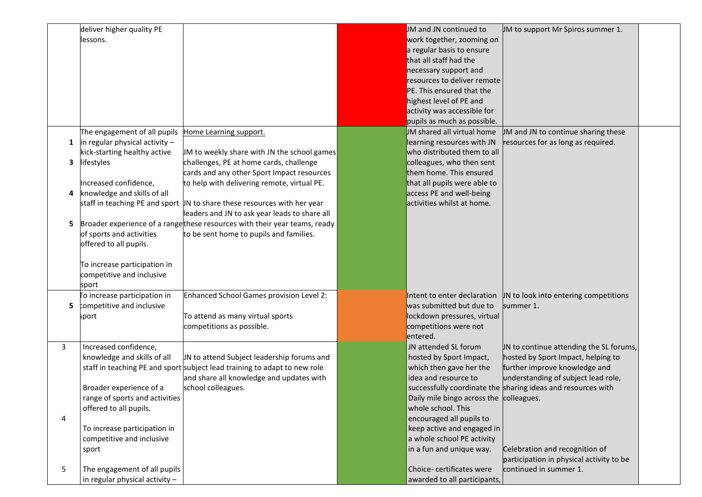|   | deliver higher quality PE           |                                                                              | JM and JN continued to                             | JM to support Mr Spiros summer 1.                            |  |
|---|-------------------------------------|------------------------------------------------------------------------------|----------------------------------------------------|--------------------------------------------------------------|--|
|   | lessons.                            |                                                                              | work together, zooming on                          |                                                              |  |
|   |                                     |                                                                              | a regular basis to ensure                          |                                                              |  |
|   |                                     |                                                                              | that all staff had the                             |                                                              |  |
|   |                                     |                                                                              | necessary support and                              |                                                              |  |
|   |                                     |                                                                              | resources to deliver remote                        |                                                              |  |
|   |                                     |                                                                              | PE. This ensured that the                          |                                                              |  |
|   |                                     |                                                                              | highest level of PE and                            |                                                              |  |
|   |                                     |                                                                              | activity was accessible for                        |                                                              |  |
|   |                                     |                                                                              | pupils as much as possible.                        |                                                              |  |
|   | The engagement of all pupils        | Home Learning support.                                                       | UM shared all virtual home                         | JM and JN to continue sharing these                          |  |
|   | 1 $\ln$ regular physical activity – |                                                                              | learning resources with JN                         | resources for as long as required.                           |  |
|   | kick-starting healthy active        | JM to weekly share with JN the school games                                  | who distributed them to all                        |                                                              |  |
|   | 3 lifestyles                        | challenges, PE at home cards, challenge                                      | colleagues, who then sent                          |                                                              |  |
|   |                                     | cards and any other Sport Impact resources                                   | them home. This ensured                            |                                                              |  |
|   | Increased confidence,               | to help with delivering remote, virtual PE.                                  | that all pupils were able to                       |                                                              |  |
|   | 4 knowledge and skills of all       |                                                                              | access PE and well-being                           |                                                              |  |
|   |                                     | staff in teaching PE and sport UN to share these resources with her year     | activities whilst at home.                         |                                                              |  |
|   |                                     | leaders and JN to ask year leads to share all                                |                                                    |                                                              |  |
|   |                                     | 5 Broader experience of a range these resources with their year teams, ready |                                                    |                                                              |  |
|   | of sports and activities            | to be sent home to pupils and families.                                      |                                                    |                                                              |  |
|   | offered to all pupils.              |                                                                              |                                                    |                                                              |  |
|   |                                     |                                                                              |                                                    |                                                              |  |
|   | To increase participation in        |                                                                              |                                                    |                                                              |  |
|   | competitive and inclusive           |                                                                              |                                                    |                                                              |  |
|   | sport                               |                                                                              |                                                    |                                                              |  |
|   | To increase participation in        | Enhanced School Games provision Level 2:                                     | Intent to enter declaration                        | UN to look into entering competitions                        |  |
|   | 5 competitive and inclusive         |                                                                              | was submitted but due to                           | summer 1.                                                    |  |
|   | sport                               | To attend as many virtual sports                                             | lockdown pressures, virtual                        |                                                              |  |
|   |                                     | competitions as possible.                                                    | competitions were not                              |                                                              |  |
|   |                                     |                                                                              | entered.                                           |                                                              |  |
| 3 |                                     |                                                                              | JN attended SL forum                               |                                                              |  |
|   | Increased confidence,               |                                                                              |                                                    | IN to continue attending the SL forums,                      |  |
|   | knowledge and skills of all         | JN to attend Subject leadership forums and                                   | hosted by Sport Impact,<br>which then gave her the | hosted by Sport Impact, helping to                           |  |
|   |                                     | staff in teaching PE and sport subject lead training to adapt to new role    |                                                    | further improve knowledge and                                |  |
|   |                                     | and share all knowledge and updates with                                     | idea and resource to                               | understanding of subject lead role,                          |  |
|   | Broader experience of a             | school colleagues.                                                           |                                                    | successfully coordinate the sharing ideas and resources with |  |
|   | range of sports and activities      |                                                                              | Daily mile bingo across the colleagues.            |                                                              |  |
|   | offered to all pupils.              |                                                                              | whole school. This                                 |                                                              |  |
| 4 |                                     |                                                                              | encouraged all pupils to                           |                                                              |  |
|   | To increase participation in        |                                                                              | keep active and engaged in                         |                                                              |  |
|   | competitive and inclusive           |                                                                              | a whole school PE activity                         |                                                              |  |
|   | sport                               |                                                                              | in a fun and unique way.                           | Celebration and recognition of                               |  |
|   |                                     |                                                                              |                                                    | participation in physical activity to be                     |  |
| 5 | The engagement of all pupils        |                                                                              | Choice-certificates were                           | continued in summer 1.                                       |  |
|   | in regular physical activity -      |                                                                              | awarded to all participants,                       |                                                              |  |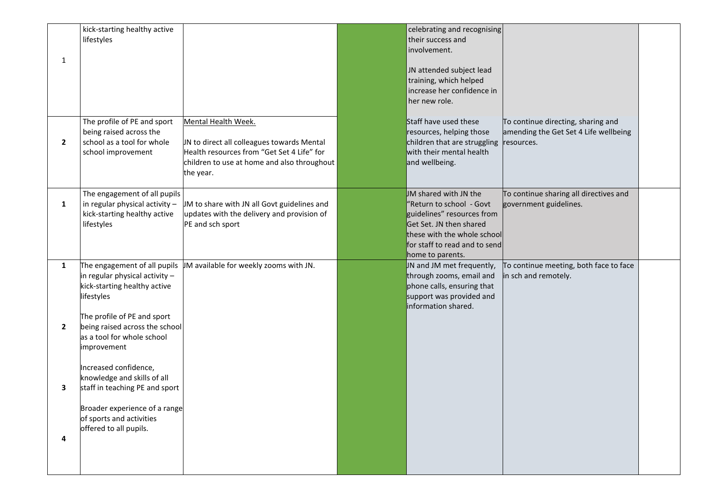| $\mathbf{1}$      | kick-starting healthy active<br>lifestyles                                                                                                                                                 |                                                                                                                                                                             | celebrating and recognising<br>their success and<br>involvement.<br>JN attended subject lead<br>training, which helped<br>increase her confidence in<br>her new role.                          |                                                                                           |  |
|-------------------|--------------------------------------------------------------------------------------------------------------------------------------------------------------------------------------------|-----------------------------------------------------------------------------------------------------------------------------------------------------------------------------|------------------------------------------------------------------------------------------------------------------------------------------------------------------------------------------------|-------------------------------------------------------------------------------------------|--|
| $\mathbf{2}$      | The profile of PE and sport<br>being raised across the<br>school as a tool for whole<br>school improvement                                                                                 | Mental Health Week.<br>JN to direct all colleagues towards Mental<br>Health resources from "Get Set 4 Life" for<br>children to use at home and also throughout<br>the year. | Staff have used these<br>resources, helping those<br>children that are struggling<br>with their mental health<br>and wellbeing.                                                                | To continue directing, sharing and<br>amending the Get Set 4 Life wellbeing<br>resources. |  |
| 1                 | The engagement of all pupils<br>in regular physical activity -<br>kick-starting healthy active<br>lifestyles                                                                               | JM to share with JN all Govt guidelines and<br>updates with the delivery and provision of<br>PE and sch sport                                                               | JM shared with JN the<br>"Return to school - Govt<br>guidelines" resources from<br>Get Set. JN then shared<br>these with the whole school<br>for staff to read and to send<br>home to parents. | To continue sharing all directives and<br>government guidelines.                          |  |
| 1<br>$\mathbf{2}$ | in regular physical activity -<br>kick-starting healthy active<br>lifestyles<br>The profile of PE and sport<br>being raised across the school<br>as a tool for whole school<br>improvement | The engagement of all pupils $\parallel$ M available for weekly zooms with JN.                                                                                              | IN and JM met frequently,<br>through zooms, email and<br>phone calls, ensuring that<br>support was provided and<br>information shared.                                                         | To continue meeting, both face to face<br>in sch and remotely.                            |  |
| 3<br>4            | Increased confidence,<br>knowledge and skills of all<br>staff in teaching PE and sport<br>Broader experience of a range<br>of sports and activities<br>offered to all pupils.              |                                                                                                                                                                             |                                                                                                                                                                                                |                                                                                           |  |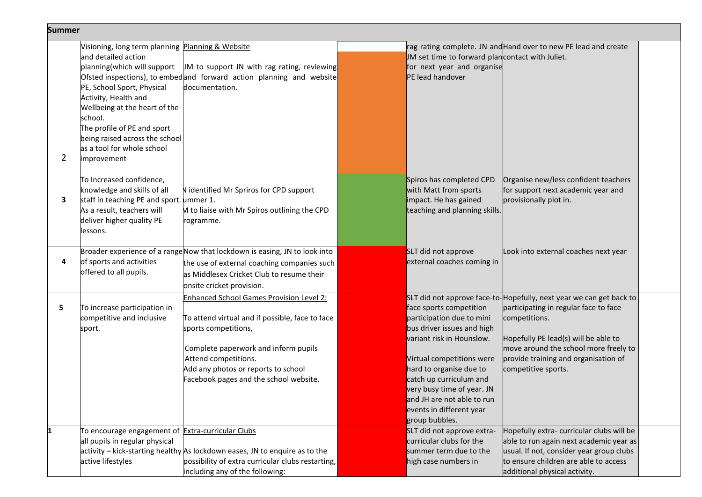| <b>Summer</b>  |                                                                                                                                                                                                                                                                                                                        |                                                                                                                                                                                                                                                                             |                                                                                                                                                                                                                                                                                                              |                                                                                                                                                                                                                                                                               |  |
|----------------|------------------------------------------------------------------------------------------------------------------------------------------------------------------------------------------------------------------------------------------------------------------------------------------------------------------------|-----------------------------------------------------------------------------------------------------------------------------------------------------------------------------------------------------------------------------------------------------------------------------|--------------------------------------------------------------------------------------------------------------------------------------------------------------------------------------------------------------------------------------------------------------------------------------------------------------|-------------------------------------------------------------------------------------------------------------------------------------------------------------------------------------------------------------------------------------------------------------------------------|--|
| $\overline{2}$ | Visioning, long term planning Planning & Website<br>and detailed action<br>planning(which will support<br>PE, School Sport, Physical<br>Activity, Health and<br>Wellbeing at the heart of the<br>school.<br>The profile of PE and sport<br>being raised across the school<br>as a tool for whole school<br>improvement | JM to support JN with rag rating, reviewing<br>Ofsted inspections), to embed and forward action planning and website<br>documentation.                                                                                                                                      | JM set time to forward plancontact with Juliet.<br>for next year and organise<br>PE lead handover                                                                                                                                                                                                            | rag rating complete. JN and Hand over to new PE lead and create                                                                                                                                                                                                               |  |
| 3              | To Increased confidence,<br>knowledge and skills of all<br>staff in teaching PE and sport. ummer 1.<br>As a result, teachers will<br>deliver higher quality PE<br>lessons.                                                                                                                                             | N identified Mr Spriros for CPD support<br>M to liaise with Mr Spiros outlining the CPD<br>rogramme.                                                                                                                                                                        | Spiros has completed CPD<br>with Matt from sports<br>impact. He has gained<br>teaching and planning skills.                                                                                                                                                                                                  | Organise new/less confident teachers<br>for support next academic year and<br>provisionally plot in.                                                                                                                                                                          |  |
| 4              | of sports and activities<br>offered to all pupils.                                                                                                                                                                                                                                                                     | Broader experience of a range Now that lockdown is easing, JN to look into<br>the use of external coaching companies such<br>as Middlesex Cricket Club to resume their<br>onsite cricket provision.                                                                         | SLT did not approve<br>external coaches coming in                                                                                                                                                                                                                                                            | Look into external coaches next year                                                                                                                                                                                                                                          |  |
| 5              | To increase participation in<br>competitive and inclusive<br>sport.                                                                                                                                                                                                                                                    | <b>Enhanced School Games Provision Level 2:</b><br>To attend virtual and if possible, face to face<br>sports competitions,<br>Complete paperwork and inform pupils<br>Attend competitions.<br>Add any photos or reports to school<br>Facebook pages and the school website. | face sports competition<br>participation due to mini<br>bus driver issues and high<br>variant risk in Hounslow.<br>Virtual competitions were<br>hard to organise due to<br>catch up curriculum and<br>very busy time of year. JN<br>and JH are not able to run<br>events in different year<br>group bubbles. | SLT did not approve face-to-Hopefully, next year we can get back to<br>participating in regular face to face<br>competitions.<br>Hopefully PE lead(s) will be able to<br>move around the school more freely to<br>provide training and organisation of<br>competitive sports. |  |
|                | To encourage engagement of Extra-curricular Clubs<br>all pupils in regular physical<br>active lifestyles                                                                                                                                                                                                               | activity – kick-starting healthy As lockdown eases, JN to enquire as to the<br>possibility of extra curricular clubs restarting,<br>including any of the following:                                                                                                         | SLT did not approve extra-<br>curricular clubs for the<br>summer term due to the<br>high case numbers in                                                                                                                                                                                                     | Hopefully extra-curricular clubs will be<br>able to run again next academic year as<br>usual. If not, consider year group clubs<br>to ensure children are able to access<br>additional physical activity.                                                                     |  |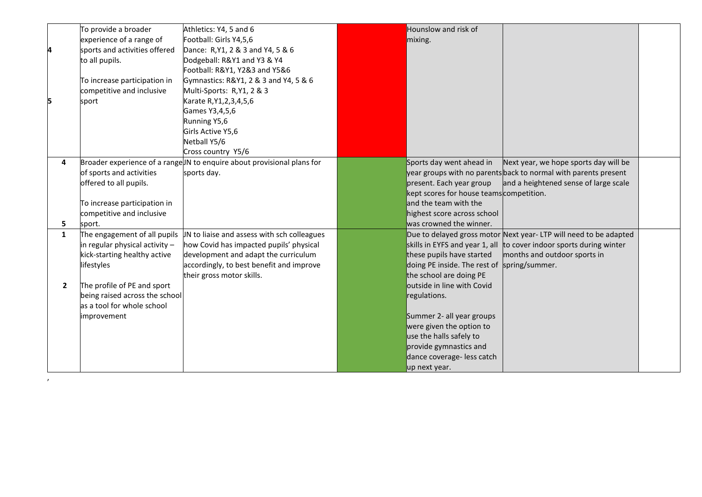|              | To provide a broader           | Athletics: Y4, 5 and 6                                                  | Hounslow and risk of                        |                                                                         |  |
|--------------|--------------------------------|-------------------------------------------------------------------------|---------------------------------------------|-------------------------------------------------------------------------|--|
|              | experience of a range of       | Football: Girls Y4,5,6                                                  | mixing.                                     |                                                                         |  |
| 4            | sports and activities offered  | Dance: R, Y1, 2 & 3 and Y4, 5 & 6                                       |                                             |                                                                         |  |
|              | to all pupils.                 | Dodgeball: R&Y1 and Y3 & Y4                                             |                                             |                                                                         |  |
|              |                                | Football: R&Y1, Y2&3 and Y5&6                                           |                                             |                                                                         |  |
|              | To increase participation in   | Gymnastics: R&Y1, 2 & 3 and Y4, 5 & 6                                   |                                             |                                                                         |  |
|              | competitive and inclusive      | Multi-Sports: R,Y1, 2 & 3                                               |                                             |                                                                         |  |
| 5            | sport                          | Karate R, Y1, 2, 3, 4, 5, 6                                             |                                             |                                                                         |  |
|              |                                | Games Y3,4,5,6                                                          |                                             |                                                                         |  |
|              |                                | Running Y5,6                                                            |                                             |                                                                         |  |
|              |                                | Girls Active Y5,6                                                       |                                             |                                                                         |  |
|              |                                | Netball Y5/6                                                            |                                             |                                                                         |  |
|              |                                | Cross country Y5/6                                                      |                                             |                                                                         |  |
| 4            |                                | Broader experience of a range JN to enquire about provisional plans for | Sports day went ahead in                    | Next year, we hope sports day will be                                   |  |
|              | of sports and activities       | sports day.                                                             |                                             | year groups with no parents <b>back to normal with parents present</b>  |  |
|              | offered to all pupils.         |                                                                         | present. Each year group                    | and a heightened sense of large scale                                   |  |
|              |                                |                                                                         | kept scores for house teams competition.    |                                                                         |  |
|              | To increase participation in   |                                                                         | and the team with the                       |                                                                         |  |
|              | competitive and inclusive      |                                                                         | highest score across school                 |                                                                         |  |
| 5            | sport.                         |                                                                         | was crowned the winner.                     |                                                                         |  |
| $\mathbf{1}$ | The engagement of all pupils   | JN to liaise and assess with sch colleagues                             |                                             | Due to delayed gross motor Next year-LTP will need to be adapted        |  |
|              | in regular physical activity - | how Covid has impacted pupils' physical                                 |                                             | skills in EYFS and year 1, all $ $ to cover indoor sports during winter |  |
|              | kick-starting healthy active   | development and adapt the curriculum                                    | these pupils have started                   | months and outdoor sports in                                            |  |
|              | lifestyles                     | accordingly, to best benefit and improve                                | doing PE inside. The rest of spring/summer. |                                                                         |  |
|              |                                | their gross motor skills.                                               | the school are doing PE                     |                                                                         |  |
| $\mathbf{2}$ | The profile of PE and sport    |                                                                         | outside in line with Covid                  |                                                                         |  |
|              | being raised across the school |                                                                         | regulations.                                |                                                                         |  |
|              | as a tool for whole school     |                                                                         |                                             |                                                                         |  |
|              | improvement                    |                                                                         | Summer 2- all year groups                   |                                                                         |  |
|              |                                |                                                                         | were given the option to                    |                                                                         |  |
|              |                                |                                                                         | use the halls safely to                     |                                                                         |  |
|              |                                |                                                                         | provide gymnastics and                      |                                                                         |  |
|              |                                |                                                                         | dance coverage- less catch                  |                                                                         |  |
|              |                                |                                                                         | up next year.                               |                                                                         |  |

, where  $\alpha$  is a set of  $\alpha$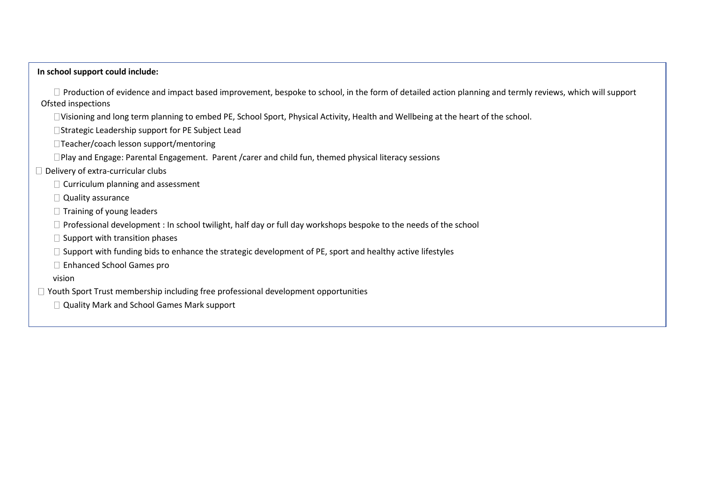#### **In school support could include:**

 $\Box$  Production of evidence and impact based improvement, bespoke to school, in the form of detailed action planning and termly reviews, which will support Ofsted inspections

Visioning and long term planning to embed PE, School Sport, Physical Activity, Health and Wellbeing at the heart of the school.

□ Strategic Leadership support for PE Subject Lead

□Teacher/coach lesson support/mentoring

□Play and Engage: Parental Engagement. Parent / carer and child fun, themed physical literacy sessions

 $\Box$  Delivery of extra-curricular clubs

 $\Box$  Curriculum planning and assessment

Quality assurance

 $\Box$  Training of young leaders

 $\Box$  Professional development : In school twilight, half day or full day workshops bespoke to the needs of the school

 $\Box$  Support with transition phases

 $\Box$  Support with funding bids to enhance the strategic development of PE, sport and healthy active lifestyles

□ Enhanced School Games pro

vision

 $\Box$  Youth Sport Trust membership including free professional development opportunities

□ Quality Mark and School Games Mark support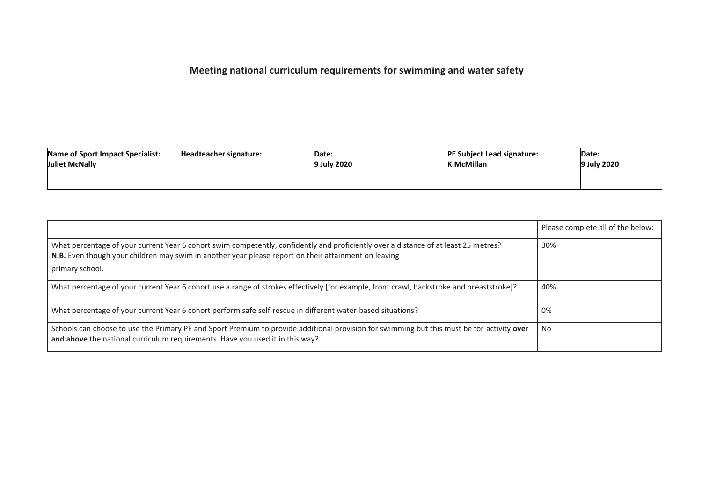# **Meeting national curriculum requirements for swimming and water safety**

| Name of Sport Impact Specialist:<br><b>Juliet McNally</b> | Date:<br>Headteacher signature:<br><b>July 2020</b> |  | <b>PE Subject Lead signature:</b><br><b>K.McMillan</b> | Date:<br>9 July 2020 |
|-----------------------------------------------------------|-----------------------------------------------------|--|--------------------------------------------------------|----------------------|
|                                                           |                                                     |  |                                                        |                      |

|                                                                                                                                                                                                                                                                | Please complete all of the below: |
|----------------------------------------------------------------------------------------------------------------------------------------------------------------------------------------------------------------------------------------------------------------|-----------------------------------|
| What percentage of your current Year 6 cohort swim competently, confidently and proficiently over a distance of at least 25 metres?<br>N.B. Even though your children may swim in another year please report on their attainment on leaving<br>primary school. | 30%                               |
| What percentage of your current Year 6 cohort use a range of strokes effectively [for example, front crawl, backstroke and breaststroke]?                                                                                                                      | 40%                               |
| What percentage of your current Year 6 cohort perform safe self-rescue in different water-based situations?                                                                                                                                                    | 0%                                |
| Schools can choose to use the Primary PE and Sport Premium to provide additional provision for swimming but this must be for activity over<br>and above the national curriculum requirements. Have you used it in this way?                                    | No                                |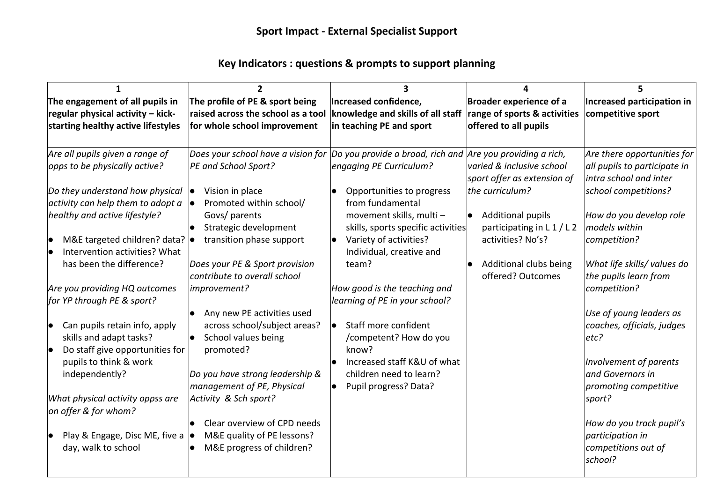### **Key Indicators : questions & prompts to support planning**

| The engagement of all pupils in                       | The profile of PE & sport being                                                               | Increased confidence,                                        | <b>Broader experience of a</b>                  | Increased participation in                   |
|-------------------------------------------------------|-----------------------------------------------------------------------------------------------|--------------------------------------------------------------|-------------------------------------------------|----------------------------------------------|
| regular physical activity - kick-                     | raised across the school as a tool                                                            | knowledge and skills of all staff                            | range of sports & activities                    | competitive sport                            |
| starting healthy active lifestyles                    | for whole school improvement                                                                  | in teaching PE and sport                                     | offered to all pupils                           |                                              |
|                                                       |                                                                                               |                                                              |                                                 |                                              |
| Are all pupils given a range of                       | Does your school have a vision for Do you provide a broad, rich and Are you providing a rich, |                                                              |                                                 | Are there opportunities for                  |
| opps to be physically active?                         | PE and School Sport?                                                                          | engaging PE Curriculum?                                      | varied & inclusive school                       | all pupils to participate in                 |
|                                                       |                                                                                               |                                                              | sport offer as extension of                     | intra school and inter                       |
| Do they understand how physical $\vert \bullet \vert$ | Vision in place                                                                               | Opportunities to progress                                    | the curriculum?                                 | school competitions?                         |
| activity can help them to adopt a                     | Promoted within school/                                                                       | from fundamental                                             |                                                 |                                              |
| healthy and active lifestyle?                         | Govs/ parents                                                                                 | movement skills, multi-                                      | <b>Additional pupils</b>                        | How do you develop role<br>models within     |
| M&E targeted children? data? $\bullet$                | Strategic development<br>transition phase support                                             | skills, sports specific activities<br>Variety of activities? | participating in L 1 / L 2<br>activities? No's? | competition?                                 |
| Intervention activities? What                         |                                                                                               | Individual, creative and                                     |                                                 |                                              |
| has been the difference?                              | Does your PE & Sport provision                                                                | team?                                                        | Additional clubs being                          | What life skills/ values do                  |
|                                                       | contribute to overall school                                                                  |                                                              | offered? Outcomes                               | the pupils learn from                        |
| Are you providing HQ outcomes                         | improvement?                                                                                  | How good is the teaching and                                 |                                                 | competition?                                 |
| for YP through PE & sport?                            |                                                                                               | learning of PE in your school?                               |                                                 |                                              |
|                                                       | Any new PE activities used                                                                    |                                                              |                                                 | Use of young leaders as                      |
| Can pupils retain info, apply                         | across school/subject areas?                                                                  | Staff more confident<br>$\bullet$                            |                                                 | coaches, officials, judges                   |
| skills and adapt tasks?                               | School values being                                                                           | /competent? How do you                                       |                                                 | etc?                                         |
| Do staff give opportunities for                       | promoted?                                                                                     | know?                                                        |                                                 |                                              |
| pupils to think & work                                |                                                                                               | Increased staff K&U of what                                  |                                                 | Involvement of parents                       |
| independently?                                        | Do you have strong leadership &                                                               | children need to learn?                                      |                                                 | and Governors in                             |
|                                                       | management of PE, Physical                                                                    | Pupil progress? Data?                                        |                                                 | promoting competitive                        |
| What physical activity oppss are                      | Activity & Sch sport?                                                                         |                                                              |                                                 | sport?                                       |
| on offer & for whom?                                  |                                                                                               |                                                              |                                                 |                                              |
| Play & Engage, Disc ME, five a                        | Clear overview of CPD needs<br>M&E quality of PE lessons?                                     |                                                              |                                                 | How do you track pupil's<br>participation in |
| day, walk to school                                   | M&E progress of children?                                                                     |                                                              |                                                 | competitions out of                          |
|                                                       |                                                                                               |                                                              |                                                 | school?                                      |
|                                                       |                                                                                               |                                                              |                                                 |                                              |